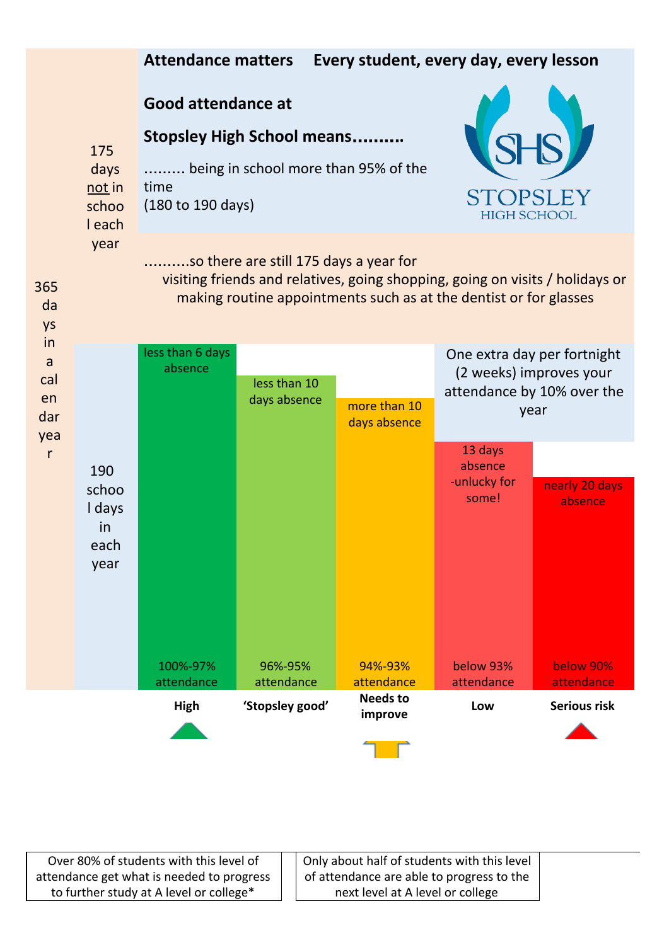

Over 80% of students with this level of attendance get what is needed to progress to further study at A level or college\*

Only about half of students with this level of attendance are able to progress to the next level at A level or college